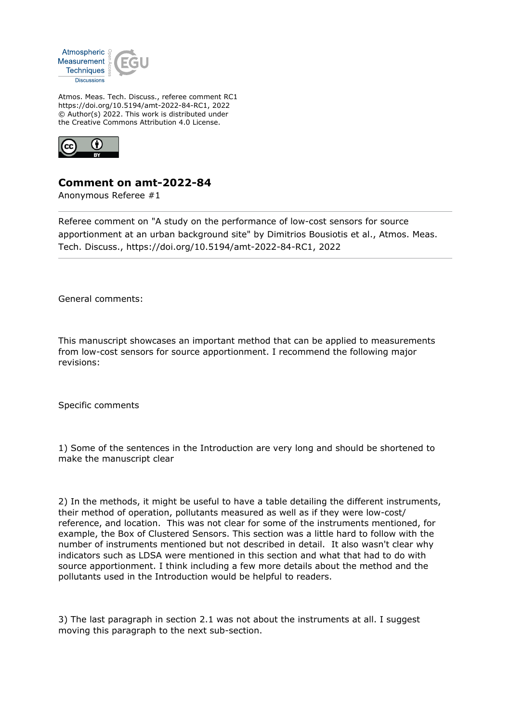

Atmos. Meas. Tech. Discuss., referee comment RC1 https://doi.org/10.5194/amt-2022-84-RC1, 2022 © Author(s) 2022. This work is distributed under the Creative Commons Attribution 4.0 License.



## **Comment on amt-2022-84**

Anonymous Referee #1

Referee comment on "A study on the performance of low-cost sensors for source apportionment at an urban background site" by Dimitrios Bousiotis et al., Atmos. Meas. Tech. Discuss., https://doi.org/10.5194/amt-2022-84-RC1, 2022

General comments:

This manuscript showcases an important method that can be applied to measurements from low-cost sensors for source apportionment. I recommend the following major revisions:

Specific comments

1) Some of the sentences in the Introduction are very long and should be shortened to make the manuscript clear

2) In the methods, it might be useful to have a table detailing the different instruments, their method of operation, pollutants measured as well as if they were low-cost/ reference, and location. This was not clear for some of the instruments mentioned, for example, the Box of Clustered Sensors. This section was a little hard to follow with the number of instruments mentioned but not described in detail. It also wasn't clear why indicators such as LDSA were mentioned in this section and what that had to do with source apportionment. I think including a few more details about the method and the pollutants used in the Introduction would be helpful to readers.

3) The last paragraph in section 2.1 was not about the instruments at all. I suggest moving this paragraph to the next sub-section.